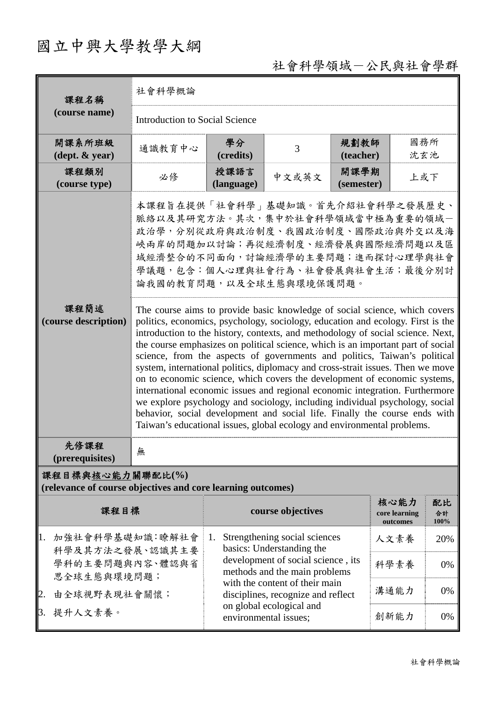## 國立中興大學教學大綱

## 社會科學領域-公民與社會學群

| 課程名稱<br>(course name)                                                                            | 社會科學概論                                                                                                                                                                                                                                                                                                                                                                                                                                                                                                                                                                                                                                                                                                                                                                                                                                                                                                                                                                                                                                                                                                                                                        |                                                                      |                   |                    |                                   |                  |  |  |
|--------------------------------------------------------------------------------------------------|---------------------------------------------------------------------------------------------------------------------------------------------------------------------------------------------------------------------------------------------------------------------------------------------------------------------------------------------------------------------------------------------------------------------------------------------------------------------------------------------------------------------------------------------------------------------------------------------------------------------------------------------------------------------------------------------------------------------------------------------------------------------------------------------------------------------------------------------------------------------------------------------------------------------------------------------------------------------------------------------------------------------------------------------------------------------------------------------------------------------------------------------------------------|----------------------------------------------------------------------|-------------------|--------------------|-----------------------------------|------------------|--|--|
|                                                                                                  | <b>Introduction to Social Science</b>                                                                                                                                                                                                                                                                                                                                                                                                                                                                                                                                                                                                                                                                                                                                                                                                                                                                                                                                                                                                                                                                                                                         |                                                                      |                   |                    |                                   |                  |  |  |
| 開課系所班級<br>$(\text{dept.} \& \text{ year})$                                                       | 通識教育中心                                                                                                                                                                                                                                                                                                                                                                                                                                                                                                                                                                                                                                                                                                                                                                                                                                                                                                                                                                                                                                                                                                                                                        | 學分<br>(credits)                                                      | 3                 | 規劃教師<br>(teacher)  | 國務所<br>沈玄池                        |                  |  |  |
| 課程類別<br>(course type)                                                                            | 必修                                                                                                                                                                                                                                                                                                                                                                                                                                                                                                                                                                                                                                                                                                                                                                                                                                                                                                                                                                                                                                                                                                                                                            | 授課語言<br>(language)                                                   | 中文或英文             | 開課學期<br>(semester) | 上或下                               |                  |  |  |
| 課程簡述<br>(course description)                                                                     | 本課程旨在提供「社會科學」基礎知識。首先介紹社會科學之發展歷史、<br>脈絡以及其研究方法。其次,集中於社會科學領域當中極為重要的領域一<br>政治學,分別從政府與政治制度、我國政治制度、國際政治與外交以及海<br>峽兩岸的問題加以討論;再從經濟制度、經濟發展與國際經濟問題以及區<br>域經濟整合的不同面向,討論經濟學的主要問題;進而探討心理學與社會<br>學議題,包含:個人心理與社會行為、社會發展與社會生活;最後分別討<br>論我國的教育問題,以及全球生態與環境保護問題。<br>The course aims to provide basic knowledge of social science, which covers<br>politics, economics, psychology, sociology, education and ecology. First is the<br>introduction to the history, contexts, and methodology of social science. Next,<br>the course emphasizes on political science, which is an important part of social<br>science, from the aspects of governments and politics, Taiwan's political<br>system, international politics, diplomacy and cross-strait issues. Then we move<br>on to economic science, which covers the development of economic systems,<br>international economic issues and regional economic integration. Furthermore<br>we explore psychology and sociology, including individual psychology, social<br>behavior, social development and social life. Finally the course ends with<br>Taiwan's educational issues, global ecology and environmental problems. |                                                                      |                   |                    |                                   |                  |  |  |
| 先修課程<br>(prerequisites)                                                                          | 無                                                                                                                                                                                                                                                                                                                                                                                                                                                                                                                                                                                                                                                                                                                                                                                                                                                                                                                                                                                                                                                                                                                                                             |                                                                      |                   |                    |                                   |                  |  |  |
| 課程目標與核心能力關聯配比(%)<br>(relevance of course objectives and core learning outcomes)                  |                                                                                                                                                                                                                                                                                                                                                                                                                                                                                                                                                                                                                                                                                                                                                                                                                                                                                                                                                                                                                                                                                                                                                               |                                                                      |                   |                    |                                   |                  |  |  |
| 課程目標                                                                                             |                                                                                                                                                                                                                                                                                                                                                                                                                                                                                                                                                                                                                                                                                                                                                                                                                                                                                                                                                                                                                                                                                                                                                               |                                                                      | course objectives |                    | 核心能力<br>core learning<br>outcomes | 配比<br>合計<br>100% |  |  |
| 1.<br>加強社會科學基礎知識:瞭解社會<br>科學及其方法之發展、認識其主要<br>學科的主要問題與內容、體認與省<br>思全球生態與環境問題;<br>2.<br>由全球視野表現社會關懷; |                                                                                                                                                                                                                                                                                                                                                                                                                                                                                                                                                                                                                                                                                                                                                                                                                                                                                                                                                                                                                                                                                                                                                               | Strengthening social sciences<br>1.<br>basics: Understanding the     |                   |                    | 人文素養                              | 20%              |  |  |
|                                                                                                  |                                                                                                                                                                                                                                                                                                                                                                                                                                                                                                                                                                                                                                                                                                                                                                                                                                                                                                                                                                                                                                                                                                                                                               | development of social science, its<br>methods and the main problems  | 科學素養              | 0%                 |                                   |                  |  |  |
|                                                                                                  |                                                                                                                                                                                                                                                                                                                                                                                                                                                                                                                                                                                                                                                                                                                                                                                                                                                                                                                                                                                                                                                                                                                                                               | with the content of their main<br>disciplines, recognize and reflect |                   |                    | 溝通能力                              | 0%               |  |  |
| 3. 提升人文素養。                                                                                       |                                                                                                                                                                                                                                                                                                                                                                                                                                                                                                                                                                                                                                                                                                                                                                                                                                                                                                                                                                                                                                                                                                                                                               | on global ecological and<br>environmental issues;                    |                   | 創新能力               | $0\%$                             |                  |  |  |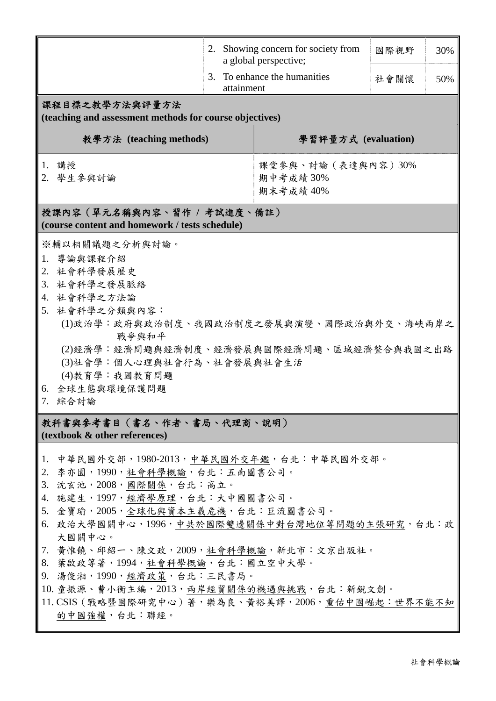|                                                                                                                                                                                                                                                                                                                                                                                                                                                                                                 |                     | 2. Showing concern for society from<br>a global perspective; | 國際視野 | 30% |  |  |  |  |  |
|-------------------------------------------------------------------------------------------------------------------------------------------------------------------------------------------------------------------------------------------------------------------------------------------------------------------------------------------------------------------------------------------------------------------------------------------------------------------------------------------------|---------------------|--------------------------------------------------------------|------|-----|--|--|--|--|--|
|                                                                                                                                                                                                                                                                                                                                                                                                                                                                                                 | attainment          | 3. To enhance the humanities                                 | 社會關懷 | 50% |  |  |  |  |  |
| 課程目標之教學方法與評量方法<br>(teaching and assessment methods for course objectives)                                                                                                                                                                                                                                                                                                                                                                                                                       |                     |                                                              |      |     |  |  |  |  |  |
| 教學方法 (teaching methods)                                                                                                                                                                                                                                                                                                                                                                                                                                                                         | 學習評量方式 (evaluation) |                                                              |      |     |  |  |  |  |  |
| 1. 講授<br>2. 學生參與討論                                                                                                                                                                                                                                                                                                                                                                                                                                                                              |                     | 課堂參與、討論(表達與內容)30%<br>期中考成績30%<br>期末考成績 40%                   |      |     |  |  |  |  |  |
| 授課內容 (單元名稱與內容、習作 / 考試進度、備註)<br>(course content and homework / tests schedule)                                                                                                                                                                                                                                                                                                                                                                                                                   |                     |                                                              |      |     |  |  |  |  |  |
| ※輔以相關議題之分析與討論。<br>導論與課程介紹<br>1.<br>2. 社會科學發展歷史<br>3. 社會科學之發展脈絡<br>4. 社會科學之方法論<br>5. 社會科學之分類與內容:<br>(1)政治學:政府與政治制度、我國政治制度之發展與演變、國際政治與外交、海峽兩岸之<br>戰爭與和平<br>(2)經濟學:經濟問題與經濟制度、經濟發展與國際經濟問題、區域經濟整合與我國之出路<br>(3)社會學:個人心理與社會行為、社會發展與社會生活<br>(4)教育學:我國教育問題<br>全球生態與環境保護問題<br>6.<br>綜合討論<br>7.                                                                                                                                                                                                            |                     |                                                              |      |     |  |  |  |  |  |
| 教科書與參考書目(書名、作者、書局、代理商、說明)<br>(textbook & other references)                                                                                                                                                                                                                                                                                                                                                                                                                                      |                     |                                                              |      |     |  |  |  |  |  |
| 中華民國外交部,1980-2013,中華民國外交年鑑,台北:中華民國外交部。<br>1.<br>李亦園,1990,社會科學概論,台北:五南圖書公司。<br>2.<br>沈玄池, 2008, 國際關係, 台北: 高立。<br>3.<br>施建生,1997,經濟學原理,台北:大中國圖書公司。<br>4.<br>金寶瑜,2005,全球化與資本主義危機,台北:巨流圖書公司。<br>5.<br>6. 政治大學國關中心,1996,中共於國際雙邊關係中對台灣地位等問題的主張研究,台北;政<br>大國關中心。<br>7. 黄惟饒、邱紹一、陳文政,2009,社會科學概論,新北市:文京出版社。<br>葉啟政等著,1994,社會科學概論,台北:國立空中大學。<br>8.<br>9. 湯俊湘,1990,經濟政策,台北:三民書局。<br>10. 童振源、曹小衡主編, 2013, 兩岸經貿關係的機遇與挑戰, 台北: 新銳文創。<br>11. CSIS (戰略暨國際研究中心) 著, 樂為良、黃裕美譯, 2006, 重估中國崛起: 世界不能不知<br>的中國強權,台北:聯經。 |                     |                                                              |      |     |  |  |  |  |  |